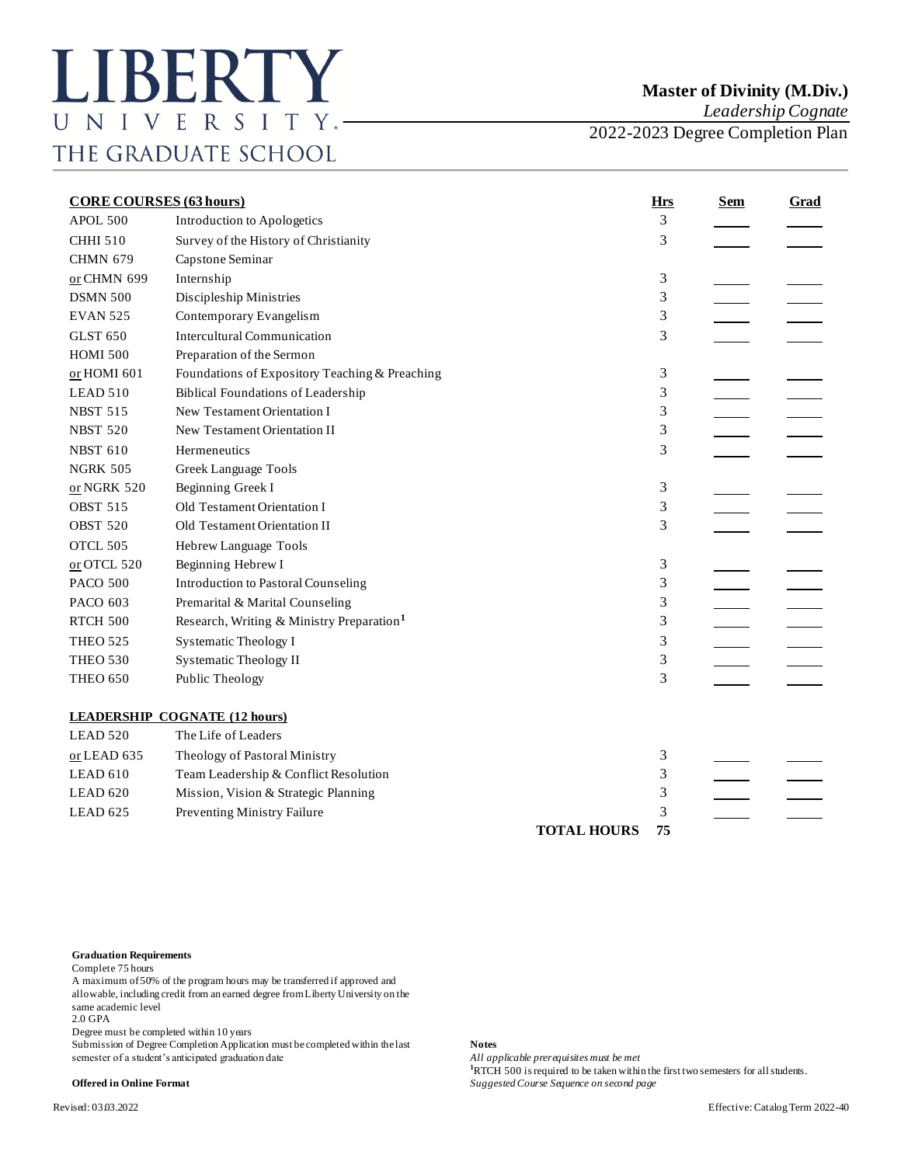*Leadership Cognate*

2022-2023 Degree Completion Plan

| <b>CORE COURSES (63 hours)</b> |                                                       | <b>Hrs</b>         | <b>Sem</b> | Grad |  |
|--------------------------------|-------------------------------------------------------|--------------------|------------|------|--|
| APOL 500                       | Introduction to Apologetics                           |                    | 3          |      |  |
| <b>CHHI 510</b>                | Survey of the History of Christianity                 |                    | 3          |      |  |
| <b>CHMN 679</b>                | Capstone Seminar                                      |                    |            |      |  |
| or CHMN 699                    | Internship                                            |                    | 3          |      |  |
| <b>DSMN 500</b>                | Discipleship Ministries                               |                    | 3          |      |  |
| <b>EVAN 525</b>                | Contemporary Evangelism                               |                    | 3          |      |  |
| <b>GLST 650</b>                | <b>Intercultural Communication</b>                    |                    | 3          |      |  |
| <b>HOMI 500</b>                | Preparation of the Sermon                             |                    |            |      |  |
| or HOMI 601                    | Foundations of Expository Teaching & Preaching        |                    | 3          |      |  |
| LEAD 510                       | <b>Biblical Foundations of Leadership</b>             |                    | 3          |      |  |
| <b>NBST 515</b>                | New Testament Orientation I                           |                    | 3          |      |  |
| <b>NBST 520</b>                | New Testament Orientation II                          |                    | 3          |      |  |
| <b>NBST 610</b>                | Hermeneutics                                          |                    | 3          |      |  |
| <b>NGRK 505</b>                | Greek Language Tools                                  |                    |            |      |  |
| or NGRK 520                    | Beginning Greek I                                     |                    | 3          |      |  |
| <b>OBST 515</b>                | Old Testament Orientation I                           |                    | 3          |      |  |
| <b>OBST 520</b>                | Old Testament Orientation II                          |                    | 3          |      |  |
| OTCL 505                       | Hebrew Language Tools                                 |                    |            |      |  |
| or OTCL 520                    | Beginning Hebrew I                                    |                    | 3          |      |  |
| <b>PACO 500</b>                | <b>Introduction to Pastoral Counseling</b>            |                    | 3          |      |  |
| PACO 603                       | Premarital & Marital Counseling                       |                    | 3          |      |  |
| RTCH 500                       | Research, Writing & Ministry Preparation <sup>1</sup> |                    | 3          |      |  |
| <b>THEO 525</b>                | Systematic Theology I                                 |                    | 3          |      |  |
| <b>THEO 530</b>                | <b>Systematic Theology II</b>                         |                    | 3          |      |  |
| <b>THEO 650</b>                | Public Theology                                       |                    | 3          |      |  |
|                                | <b>LEADERSHIP COGNATE (12 hours)</b>                  |                    |            |      |  |
| LEAD 520                       | The Life of Leaders                                   |                    |            |      |  |
| or LEAD 635                    | Theology of Pastoral Ministry                         |                    | 3          |      |  |
| LEAD 610                       | Team Leadership & Conflict Resolution                 |                    | 3          |      |  |
| LEAD 620                       | Mission, Vision & Strategic Planning                  |                    | 3          |      |  |
| LEAD 625                       | Preventing Ministry Failure                           |                    | 3          |      |  |
|                                |                                                       | <b>TOTAL HOURS</b> | 75         |      |  |

## **Graduation Requirements**

Complete 75 hours

A maximum of 50% of the program hours may be transferred if approved and allowable, including credit from an earned degree from Liberty University on the same academic level

2.0 GPA

Degree must be completed within 10 years

Submission of Degree Completion Application must be completed within the last **Notes**<br>semester of a student's anticipated graduation date *All applicable prerequisites must be met* semester of a student's anticipated graduation date

**<sup>1</sup>**RTCH 500 is required to be taken within the first two semesters for all students.

**Offered in Online Format** *Suggested Course Sequence on second page*